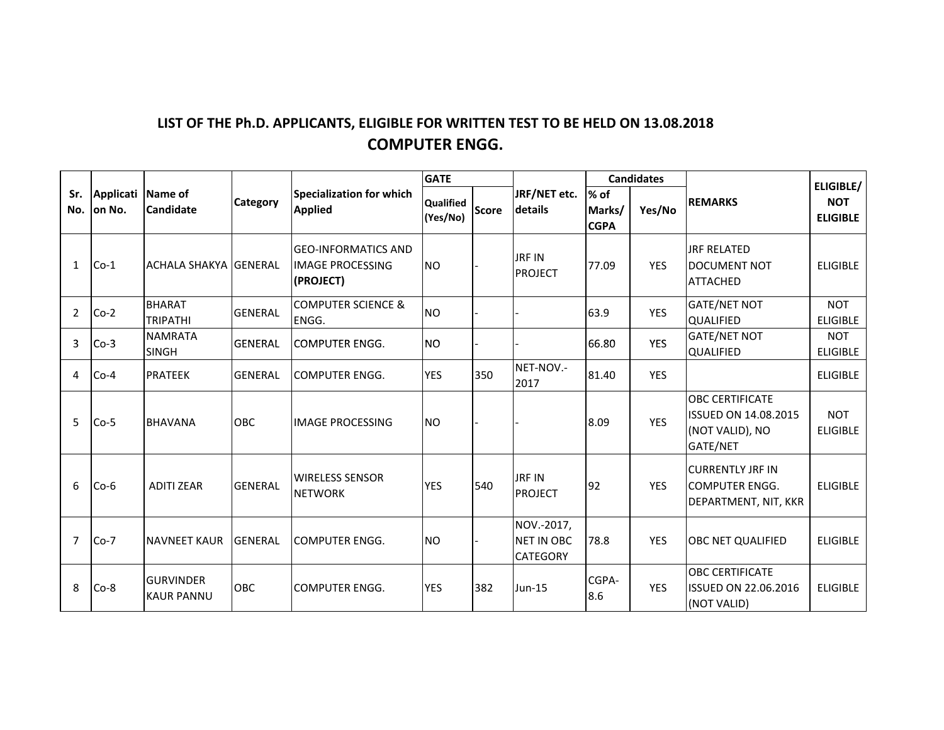## LIST OF THE Ph.D. APPLICANTS, ELIGIBLE FOR WRITTEN TEST TO BE HELD ON 13.08.2018 **COMPUTER ENGG.**

|                |                             |                                       |                |                                                                    | <b>GATE</b>           |              |                                             |                               | <b>Candidates</b> | <b>REMARKS</b><br><b>JRF RELATED</b><br>DOCUMENT NOT<br><b>ATTACHED</b><br><b>GATE/NET NOT</b><br><b>QUALIFIED</b><br><b>GATE/NET NOT</b><br><b>QUALIFIED</b><br><b>OBC CERTIFICATE</b><br><b>ISSUED ON 14.08.2015</b><br>(NOT VALID), NO | ELIGIBLE/                     |
|----------------|-----------------------------|---------------------------------------|----------------|--------------------------------------------------------------------|-----------------------|--------------|---------------------------------------------|-------------------------------|-------------------|-------------------------------------------------------------------------------------------------------------------------------------------------------------------------------------------------------------------------------------------|-------------------------------|
| Sr.<br>No.     | Applicati Name of<br>on No. | <b>Candidate</b>                      | Category       | Specialization for which<br><b>Applied</b>                         | Qualified<br>(Yes/No) | <b>Score</b> | JRF/NET etc.<br><b>details</b>              | % of<br>Marks/<br><b>CGPA</b> | Yes/No            |                                                                                                                                                                                                                                           | <b>NOT</b><br><b>ELIGIBLE</b> |
| $\mathbf{1}$   | $Co-1$                      | <b>ACHALA SHAKYA GENERAL</b>          |                | <b>GEO-INFORMATICS AND</b><br><b>IMAGE PROCESSING</b><br>(PROJECT) | <b>NO</b>             |              | JRF IN<br><b>PROJECT</b>                    | 77.09                         | <b>YES</b>        |                                                                                                                                                                                                                                           | <b>ELIGIBLE</b>               |
| $\overline{2}$ | $Co-2$                      | <b>BHARAT</b><br><b>TRIPATHI</b>      | <b>GENERAL</b> | <b>COMPUTER SCIENCE &amp;</b><br>ENGG.                             | <b>NO</b>             |              |                                             | 63.9                          | <b>YES</b>        |                                                                                                                                                                                                                                           | <b>NOT</b><br><b>ELIGIBLE</b> |
| 3              | $Co-3$                      | <b>NAMRATA</b><br><b>SINGH</b>        | <b>GENERAL</b> | <b>COMPUTER ENGG.</b>                                              | <b>NO</b>             |              |                                             | 66.80                         | <b>YES</b>        |                                                                                                                                                                                                                                           | <b>NOT</b><br><b>ELIGIBLE</b> |
| 4              | $Co-4$                      | <b>PRATEEK</b>                        | <b>GENERAL</b> | <b>I</b> COMPUTER ENGG.                                            | <b>YES</b>            | 350          | NET-NOV.-<br>2017                           | 81.40                         | <b>YES</b>        |                                                                                                                                                                                                                                           | <b>ELIGIBLE</b>               |
| 5              | $Co-5$                      | <b>BHAVANA</b>                        | OBC            | <b>IMAGE PROCESSING</b>                                            | <b>NO</b>             |              |                                             | 8.09                          | <b>YES</b>        | GATE/NET                                                                                                                                                                                                                                  | <b>NOT</b><br><b>ELIGIBLE</b> |
| 6              | $Co-6$                      | <b>ADITI ZEAR</b>                     | <b>GENERAL</b> | <b>WIRELESS SENSOR</b><br><b>NETWORK</b>                           | <b>YES</b>            | 540          | <b>JRF IN</b><br><b>PROJECT</b>             | 92                            | <b>YES</b>        | <b>ICURRENTLY JRF IN</b><br><b>I</b> COMPUTER ENGG.<br>DEPARTMENT, NIT, KKR                                                                                                                                                               | <b>ELIGIBLE</b>               |
| $\overline{7}$ | $Co-7$                      | <b>NAVNEET KAUR</b>                   | <b>GENERAL</b> | <b>COMPUTER ENGG.</b>                                              | <b>NO</b>             |              | NOV.-2017,<br>NET IN OBC<br><b>CATEGORY</b> | 78.8                          | <b>YES</b>        | <b>OBC NET QUALIFIED</b>                                                                                                                                                                                                                  | <b>ELIGIBLE</b>               |
| 8              | $Co-8$                      | <b>GURVINDER</b><br><b>KAUR PANNU</b> | OBC            | <b>I</b> COMPUTER ENGG.                                            | <b>YES</b>            | 382          | <b>Jun-15</b>                               | CGPA-<br>8.6                  | <b>YES</b>        | <b>OBC CERTIFICATE</b><br><b>ISSUED ON 22.06.2016</b><br>(NOT VALID)                                                                                                                                                                      | <b>ELIGIBLE</b>               |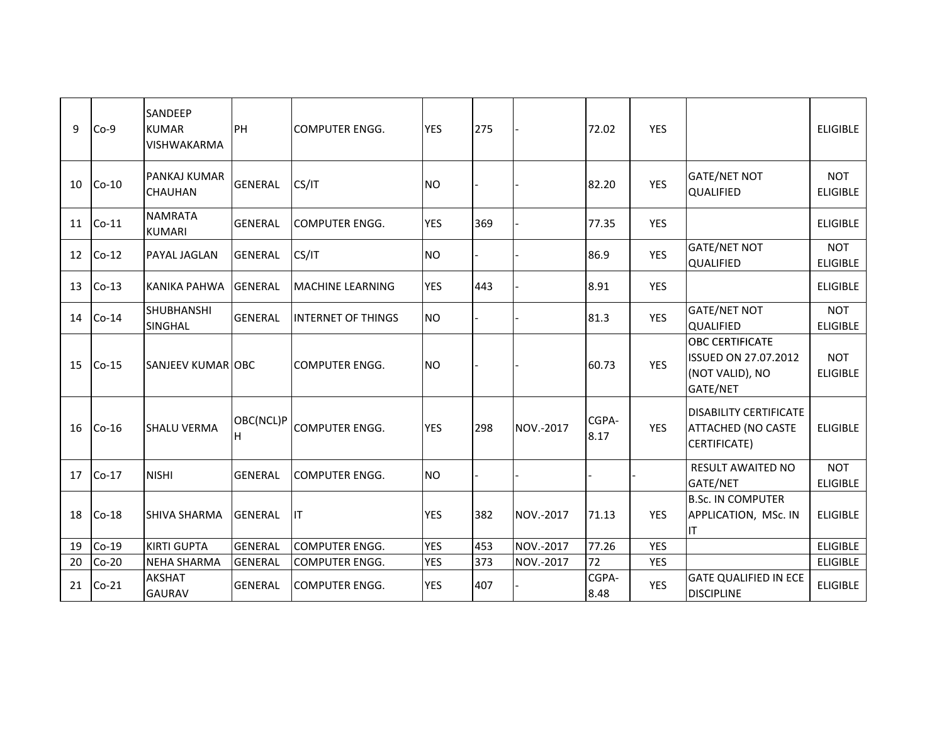| 9  | $Co-9$  | SANDEEP<br><b>KUMAR</b><br>VISHWAKARMA | PH               | <b>COMPUTER ENGG.</b>     | <b>YES</b> | 275 |           | 72.02         | <b>YES</b> |                                                                                      | <b>ELIGIBLE</b>               |
|----|---------|----------------------------------------|------------------|---------------------------|------------|-----|-----------|---------------|------------|--------------------------------------------------------------------------------------|-------------------------------|
| 10 | $Co-10$ | <b>PANKAJ KUMAR</b><br><b>CHAUHAN</b>  | <b>GENERAL</b>   | CS/IT                     | <b>NO</b>  |     |           | 82.20         | <b>YES</b> | <b>GATE/NET NOT</b><br><b>QUALIFIED</b>                                              | <b>NOT</b><br><b>ELIGIBLE</b> |
| 11 | $Co-11$ | <b>NAMRATA</b><br><b>KUMARI</b>        | <b>GENERAL</b>   | <b>COMPUTER ENGG.</b>     | <b>YES</b> | 369 |           | 77.35         | <b>YES</b> |                                                                                      | <b>ELIGIBLE</b>               |
| 12 | $Co-12$ | <b>PAYAL JAGLAN</b>                    | <b>GENERAL</b>   | CS/IT                     | <b>NO</b>  |     |           | 86.9          | <b>YES</b> | <b>GATE/NET NOT</b><br><b>QUALIFIED</b>                                              | <b>NOT</b><br><b>ELIGIBLE</b> |
| 13 | $Co-13$ | KANIKA PAHWA                           | <b>GENERAL</b>   | <b>MACHINE LEARNING</b>   | <b>YES</b> | 443 |           | 8.91          | <b>YES</b> |                                                                                      | <b>ELIGIBLE</b>               |
| 14 | $Co-14$ | <b>SHUBHANSHI</b><br><b>SINGHAL</b>    | <b>GENERAL</b>   | <b>INTERNET OF THINGS</b> | <b>NO</b>  |     |           | 81.3          | <b>YES</b> | <b>GATE/NET NOT</b><br><b>QUALIFIED</b>                                              | <b>NOT</b><br><b>ELIGIBLE</b> |
| 15 | $Co-15$ | <b>SANJEEV KUMARIOBC</b>               |                  | <b>COMPUTER ENGG.</b>     | <b>NO</b>  |     |           | 60.73         | <b>YES</b> | <b>OBC CERTIFICATE</b><br><b>ISSUED ON 27.07.2012</b><br>(NOT VALID), NO<br>GATE/NET | <b>NOT</b><br><b>ELIGIBLE</b> |
| 16 | $Co-16$ | <b>SHALU VERMA</b>                     | OBC(NCL)P<br>lH. | <b>COMPUTER ENGG.</b>     | <b>YES</b> | 298 | NOV.-2017 | CGPA-<br>8.17 | <b>YES</b> | <b>DISABILITY CERTIFICATE</b><br><b>ATTACHED (NO CASTE</b><br>CERTIFICATE)           | <b>ELIGIBLE</b>               |
| 17 | $Co-17$ | <b>NISHI</b>                           | <b>GENERAL</b>   | <b>COMPUTER ENGG.</b>     | <b>NO</b>  |     |           |               |            | RESULT AWAITED NO<br>GATE/NET                                                        | <b>NOT</b><br><b>ELIGIBLE</b> |
| 18 | $Co-18$ | <b>SHIVA SHARMA</b>                    | <b>GENERAL</b>   | <b>IT</b>                 | <b>YES</b> | 382 | NOV.-2017 | 71.13         | <b>YES</b> | <b>B.Sc. IN COMPUTER</b><br>APPLICATION, MSc. IN<br>IT                               | <b>ELIGIBLE</b>               |
| 19 | $Co-19$ | <b>KIRTI GUPTA</b>                     | <b>GENERAL</b>   | <b>COMPUTER ENGG.</b>     | <b>YES</b> | 453 | NOV.-2017 | 77.26         | <b>YES</b> |                                                                                      | <b>ELIGIBLE</b>               |
| 20 | $Co-20$ | <b>NEHA SHARMA</b>                     | <b>GENERAL</b>   | COMPUTER ENGG.            | <b>YES</b> | 373 | NOV.-2017 | 72            | <b>YES</b> |                                                                                      | <b>ELIGIBLE</b>               |
| 21 | $Co-21$ | <b>AKSHAT</b><br><b>GAURAV</b>         | <b>GENERAL</b>   | <b>COMPUTER ENGG.</b>     | <b>YES</b> | 407 |           | CGPA-<br>8.48 | <b>YES</b> | <b>GATE QUALIFIED IN ECE</b><br><b>DISCIPLINE</b>                                    | <b>ELIGIBLE</b>               |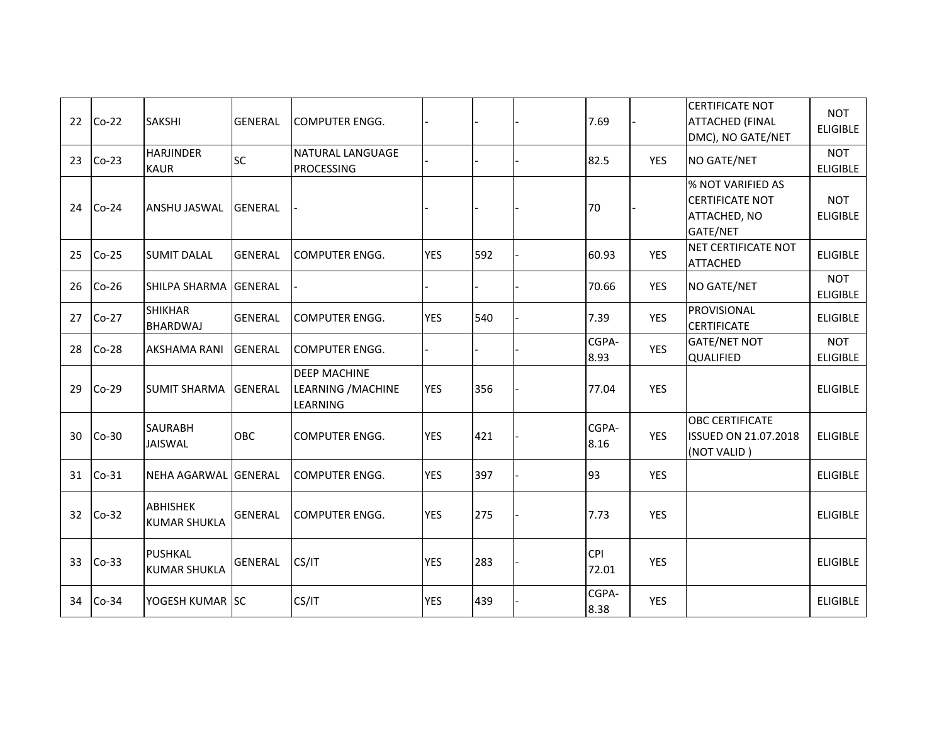| 22 | $Co-22$ | <b>SAKSHI</b>                          | <b>GENERAL</b> | <b>COMPUTER ENGG.</b>                                 |            |     | 7.69                |            | <b>CERTIFICATE NOT</b><br><b>ATTACHED (FINAL</b><br>DMC), NO GATE/NET   | <b>NOT</b><br><b>ELIGIBLE</b> |
|----|---------|----------------------------------------|----------------|-------------------------------------------------------|------------|-----|---------------------|------------|-------------------------------------------------------------------------|-------------------------------|
| 23 | $Co-23$ | <b>HARJINDER</b><br><b>KAUR</b>        | <b>SC</b>      | <b>NATURAL LANGUAGE</b><br><b>PROCESSING</b>          |            |     | 82.5                | <b>YES</b> | NO GATE/NET                                                             | <b>NOT</b><br><b>ELIGIBLE</b> |
| 24 | $Co-24$ | <b>ANSHU JASWAL</b>                    | <b>GENERAL</b> |                                                       |            |     | 70                  |            | % NOT VARIFIED AS<br><b>CERTIFICATE NOT</b><br>ATTACHED, NO<br>GATE/NET | <b>NOT</b><br><b>ELIGIBLE</b> |
| 25 | $Co-25$ | <b>SUMIT DALAL</b>                     | <b>GENERAL</b> | <b>COMPUTER ENGG.</b>                                 | <b>YES</b> | 592 | 60.93               | <b>YES</b> | NET CERTIFICATE NOT<br><b>ATTACHED</b>                                  | <b>ELIGIBLE</b>               |
| 26 | $Co-26$ | SHILPA SHARMA GENERAL                  |                |                                                       |            |     | 70.66               | <b>YES</b> | NO GATE/NET                                                             | <b>NOT</b><br><b>ELIGIBLE</b> |
| 27 | $Co-27$ | <b>SHIKHAR</b><br><b>BHARDWAJ</b>      | <b>GENERAL</b> | <b>COMPUTER ENGG.</b>                                 | <b>YES</b> | 540 | 7.39                | <b>YES</b> | PROVISIONAL<br><b>CERTIFICATE</b>                                       | <b>ELIGIBLE</b>               |
| 28 | $Co-28$ | <b>AKSHAMA RANI</b>                    | <b>GENERAL</b> | <b>COMPUTER ENGG.</b>                                 |            |     | CGPA-<br>8.93       | <b>YES</b> | <b>GATE/NET NOT</b><br><b>QUALIFIED</b>                                 | <b>NOT</b><br><b>ELIGIBLE</b> |
| 29 | $Co-29$ | <b>SUMIT SHARMA</b>                    | <b>GENERAL</b> | <b>DEEP MACHINE</b><br>LEARNING / MACHINE<br>LEARNING | <b>YES</b> | 356 | 77.04               | <b>YES</b> |                                                                         | <b>ELIGIBLE</b>               |
| 30 | $Co-30$ | <b>SAURABH</b><br>JAISWAL              | <b>OBC</b>     | <b>COMPUTER ENGG.</b>                                 | <b>YES</b> | 421 | CGPA-<br>8.16       | <b>YES</b> | <b>OBC CERTIFICATE</b><br><b>ISSUED ON 21.07.2018</b><br>(NOT VALID)    | <b>ELIGIBLE</b>               |
| 31 | $Co-31$ | NEHA AGARWAL GENERAL                   |                | <b>COMPUTER ENGG.</b>                                 | <b>YES</b> | 397 | 93                  | <b>YES</b> |                                                                         | <b>ELIGIBLE</b>               |
| 32 | $Co-32$ | <b>ABHISHEK</b><br><b>KUMAR SHUKLA</b> | <b>GENERAL</b> | <b>COMPUTER ENGG.</b>                                 | <b>YES</b> | 275 | 7.73                | <b>YES</b> |                                                                         | <b>ELIGIBLE</b>               |
| 33 | $Co-33$ | PUSHKAL<br><b>KUMAR SHUKLA</b>         | GENERAL        | CS/IT                                                 | <b>YES</b> | 283 | <b>CPI</b><br>72.01 | <b>YES</b> |                                                                         | <b>ELIGIBLE</b>               |
| 34 | $Co-34$ | YOGESH KUMAR SC                        |                | CS/IT                                                 | <b>YES</b> | 439 | CGPA-<br>8.38       | <b>YES</b> |                                                                         | <b>ELIGIBLE</b>               |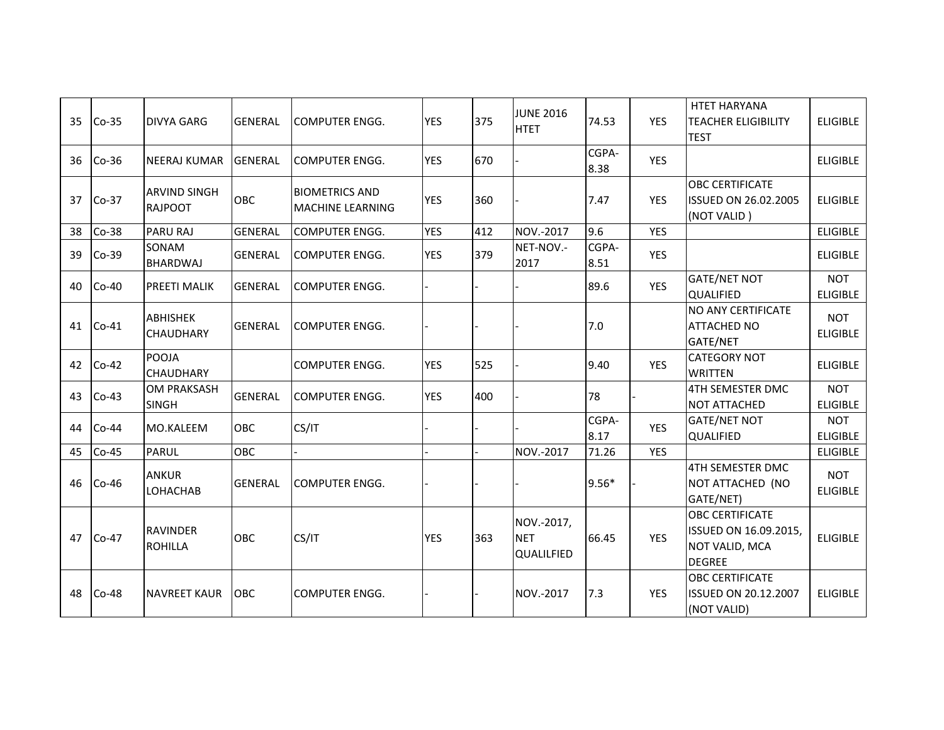| 35 | $Co-35$ | <b>DIVYA GARG</b>                     | <b>GENERAL</b> | <b>COMPUTER ENGG.</b>                            | <b>YES</b> | 375 | <b>JUNE 2016</b><br><b>HTET</b>        | 74.53         | <b>YES</b> | <b>HTET HARYANA</b><br><b>TEACHER ELIGIBILITY</b><br><b>TEST</b>                   | <b>ELIGIBLE</b>               |
|----|---------|---------------------------------------|----------------|--------------------------------------------------|------------|-----|----------------------------------------|---------------|------------|------------------------------------------------------------------------------------|-------------------------------|
| 36 | $Co-36$ | <b>NEERAJ KUMAR</b>                   | <b>GENERAL</b> | <b>COMPUTER ENGG.</b>                            | <b>YES</b> | 670 |                                        | CGPA-<br>8.38 | <b>YES</b> |                                                                                    | <b>ELIGIBLE</b>               |
| 37 | $Co-37$ | <b>ARVIND SINGH</b><br><b>RAJPOOT</b> | <b>OBC</b>     | <b>BIOMETRICS AND</b><br><b>MACHINE LEARNING</b> | <b>YES</b> | 360 |                                        | 7.47          | <b>YES</b> | <b>OBC CERTIFICATE</b><br><b>ISSUED ON 26.02.2005</b><br>(NOT VALID)               | <b>ELIGIBLE</b>               |
| 38 | $Co-38$ | <b>PARU RAJ</b>                       | <b>GENERAL</b> | <b>COMPUTER ENGG.</b>                            | <b>YES</b> | 412 | NOV.-2017                              | 9.6           | <b>YES</b> |                                                                                    | <b>ELIGIBLE</b>               |
| 39 | $Co-39$ | SONAM<br><b>BHARDWAJ</b>              | <b>GENERAL</b> | <b>COMPUTER ENGG.</b>                            | <b>YES</b> | 379 | NET-NOV.-<br>2017                      | CGPA-<br>8.51 | <b>YES</b> |                                                                                    | <b>ELIGIBLE</b>               |
| 40 | $Co-40$ | <b>PREETI MALIK</b>                   | <b>GENERAL</b> | <b>COMPUTER ENGG.</b>                            |            |     |                                        | 89.6          | <b>YES</b> | <b>GATE/NET NOT</b><br><b>QUALIFIED</b>                                            | <b>NOT</b><br><b>ELIGIBLE</b> |
| 41 | $C0-41$ | <b>ABHISHEK</b><br><b>CHAUDHARY</b>   | <b>GENERAL</b> | <b>COMPUTER ENGG.</b>                            |            |     |                                        | 7.0           |            | <b>NO ANY CERTIFICATE</b><br><b>ATTACHED NO</b><br>GATE/NET                        | <b>NOT</b><br><b>ELIGIBLE</b> |
| 42 | $Co-42$ | POOJA<br><b>CHAUDHARY</b>             |                | <b>COMPUTER ENGG.</b>                            | <b>YES</b> | 525 |                                        | 9.40          | <b>YES</b> | <b>CATEGORY NOT</b><br><b>WRITTEN</b>                                              | <b>ELIGIBLE</b>               |
| 43 | $Co-43$ | <b>OM PRAKSASH</b><br><b>SINGH</b>    | <b>GENERAL</b> | <b>COMPUTER ENGG.</b>                            | <b>YES</b> | 400 |                                        | 78            |            | 4TH SEMESTER DMC<br><b>NOT ATTACHED</b>                                            | <b>NOT</b><br><b>ELIGIBLE</b> |
| 44 | $Co-44$ | <b>MO.KALEEM</b>                      | OBC            | CS/IT                                            |            |     |                                        | CGPA-<br>8.17 | <b>YES</b> | <b>GATE/NET NOT</b><br><b>QUALIFIED</b>                                            | <b>NOT</b><br><b>ELIGIBLE</b> |
| 45 | $Co-45$ | <b>PARUL</b>                          | OBC            |                                                  |            |     | NOV.-2017                              | 71.26         | <b>YES</b> |                                                                                    | <b>ELIGIBLE</b>               |
| 46 | $Co-46$ | <b>ANKUR</b><br>LOHACHAB              | <b>GENERAL</b> | <b>COMPUTER ENGG.</b>                            |            |     |                                        | $9.56*$       |            | 4TH SEMESTER DMC<br>NOT ATTACHED (NO<br>GATE/NET)                                  | <b>NOT</b><br><b>ELIGIBLE</b> |
| 47 | $Co-47$ | <b>RAVINDER</b><br><b>ROHILLA</b>     | <b>OBC</b>     | CS/IT                                            | <b>YES</b> | 363 | NOV.-2017,<br><b>NET</b><br>QUALILFIED | 66.45         | <b>YES</b> | <b>OBC CERTIFICATE</b><br>ISSUED ON 16.09.2015,<br>NOT VALID, MCA<br><b>DEGREE</b> | <b>ELIGIBLE</b>               |
| 48 | $Co-48$ | <b>NAVREET KAUR</b>                   | <b>OBC</b>     | <b>COMPUTER ENGG.</b>                            |            |     | NOV.-2017                              | 7.3           | <b>YES</b> | <b>OBC CERTIFICATE</b><br><b>ISSUED ON 20.12.2007</b><br>(NOT VALID)               | <b>ELIGIBLE</b>               |